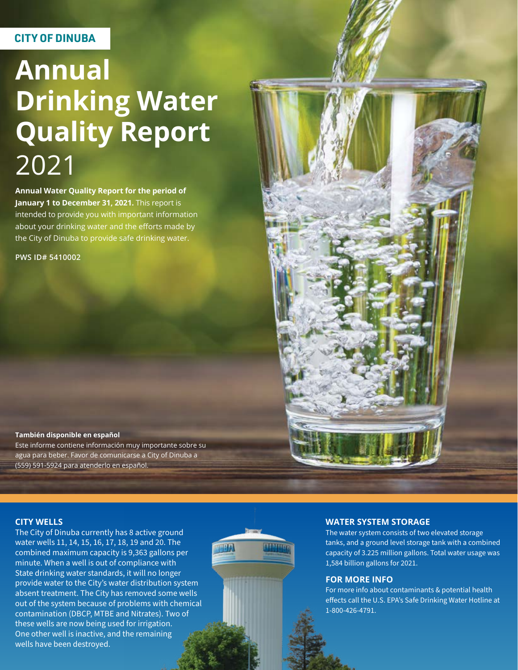### **CITY OF DINUBA**

# **Annual Drinking Water Quality Report** 2021

**Annual Water Quality Report for the period of January 1 to December 31, 2021.** This report is intended to provide you with important information about your drinking water and the efforts made by the City of Dinuba to provide safe drinking water.

**PWS ID# 5410002**



#### **También disponible en español** Este informe contiene información muy importante sobre su

agua para beber. Favor de comunicarse a City of Dinuba a (559) 591-5924 para atenderlo en español.

#### **CITY WELLS**

The City of Dinuba currently has 8 active ground water wells 11, 14, 15, 16, 17, 18, 19 and 20. The combined maximum capacity is 9,363 gallons per minute. When a well is out of compliance with State drinking water standards, it will no longer provide water to the City's water distribution system absent treatment. The City has removed some wells out of the system because of problems with chemical contamination (DBCP, MTBE and Nitrates). Two of these wells are now being used for irrigation. One other well is inactive, and the remaining wells have been destroyed.



#### **WATER SYSTEM STORAGE**

The water system consists of two elevated storage tanks, and a ground level storage tank with a combined capacity of 3.225 million gallons. Total water usage was 1,584 billion gallons for 2021.

#### **FOR MORE INFO**

For more info about contaminants & potential health effects call the U.S. EPA's Safe Drinking Water Hotline at 1-800-426-4791.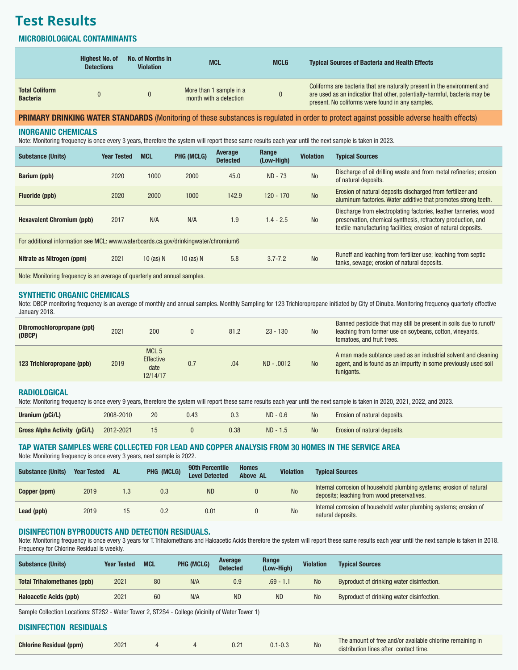## **Test Results**

#### MICROBIOLOGICAL CONTAMINANTS

|                                          | <b>Highest No. of</b><br><b>Detections</b> | No. of Months in<br><b>Violation</b> | <b>MCL</b>                                        | <b>MCLG</b> | <b>Typical Sources of Bacteria and Health Effects</b>                                                                                                                                                      |
|------------------------------------------|--------------------------------------------|--------------------------------------|---------------------------------------------------|-------------|------------------------------------------------------------------------------------------------------------------------------------------------------------------------------------------------------------|
| <b>Total Coliform</b><br><b>Bacteria</b> |                                            |                                      | More than 1 sample in a<br>month with a detection |             | Coliforms are bacteria that are naturally present in the environment and<br>are used as an indicatior that other, potentially-harmful, bacteria may be<br>present. No coliforms were found in any samples. |

### PRIMARY DRINKING WATER STANDARDS (Monitoring of these substances is regulated in order to protect against possible adverse health effects)

#### INORGANIC CHEMICALS

Note: Monitoring frequency is once every 3 years, therefore the system will report these same results each year until the next sample is taken in 2023.

| <b>Substance (Units)</b>                                                           | <b>Year Tested</b> | <b>MCL</b>  | PHG (MCLG)  | Average<br><b>Detected</b> | Range<br>(Low-High) | <b>Violation</b> | <b>Typical Sources</b>                                                                                                                                                                             |  |  |
|------------------------------------------------------------------------------------|--------------------|-------------|-------------|----------------------------|---------------------|------------------|----------------------------------------------------------------------------------------------------------------------------------------------------------------------------------------------------|--|--|
| <b>Barium (ppb)</b>                                                                | 2020               | 1000        | 2000        | 45.0                       | $ND - 73$           | <b>No</b>        | Discharge of oil drilling waste and from metal refineries; erosion<br>of natural deposits.                                                                                                         |  |  |
| Fluoride (ppb)                                                                     | 2020               | 2000        | 1000        | 142.9                      | $120 - 170$         | <b>No</b>        | Erosion of natural deposits discharged from fertilizer and<br>aluminum factories. Water additive that promotes strong teeth.                                                                       |  |  |
| <b>Hexavalent Chromium (ppb)</b>                                                   | 2017               | N/A         | N/A         | 1.9                        | $1.4 - 2.5$         | <b>No</b>        | Discharge from electroplating factories, leather tanneries, wood<br>preservation, chemical synthesis, refractory production, and<br>textile manufacturing facilities; erosion of natural deposits. |  |  |
| For additional information see MCL: www.waterboards.ca.gov/drinkingwater/chromium6 |                    |             |             |                            |                     |                  |                                                                                                                                                                                                    |  |  |
| Nitrate as Nitrogen (ppm)                                                          | 2021               | 10 $(as)$ N | 10 (as) $N$ | 5.8                        | $3.7 - 7.2$         | <b>No</b>        | Runoff and leaching from fertilizer use; leaching from septic<br>tanks, sewage; erosion of natural deposits.                                                                                       |  |  |
|                                                                                    |                    |             |             |                            |                     |                  |                                                                                                                                                                                                    |  |  |

Note: Monitoring frequency is an average of quarterly and annual samples.

#### SYNTHETIC ORGANIC CHEMICALS

Note: DBCP monitoring frequency is an average of monthly and annual samples. Monthly Sampling for 123 Trichloropropane initiated by City of Dinuba. Monitoring frequency quarterly effective January 2018.

| Dibromochloropropane (ppt)<br>(DBCP) | 2021 | 200                                                      |     | 81.2 | $23 - 130$   | <b>No</b>      | Banned pesticide that may still be present in soils due to runoff/<br>leaching from former use on soybeans, cotton, vineyards,<br>tomatoes, and fruit trees. |
|--------------------------------------|------|----------------------------------------------------------|-----|------|--------------|----------------|--------------------------------------------------------------------------------------------------------------------------------------------------------------|
| 123 Trichloropropane (ppb)           | 2019 | MCL <sub>5</sub><br><b>Effective</b><br>date<br>12/14/17 | 0.7 | .04  | $ND - .0012$ | N <sub>o</sub> | A man made subtance used as an industrial solvent and cleaning<br>agent, and is found as an impurity in some previously used soil<br>funigants.              |

#### RADIOLOGICAL

Note: Monitoring frequency is once every 9 years, therefore the system will report these same results each year until the next sample is taken in 2020, 2021, 2022, and 2023.

| Uranium (pCi/L)              | 2008-2010 | 20 | 0.3  | $ND - 0.6$ | <b>No</b> | <b>Erosion of natural deposits.</b> |
|------------------------------|-----------|----|------|------------|-----------|-------------------------------------|
| Gross Alpha Activity (pCi/L) | 2012-2021 |    | 0.38 | $ND - 1.5$ | <b>No</b> | Erosion of natural deposits.        |

### TAP WATER SAMPLES WERE COLLECTED FOR LEAD AND COPPER ANALYSIS FROM 30 HOMES IN THE SERVICE AREA

Note: Monitoring frequency is once every 3 years, next sample is 2022.

| <b>Substance (Units)</b> | <b>Year Tested</b> | AL. | PHG (MCLG) | <b>90th Percentile</b><br><b>Level Detected</b> | <b>Homes</b><br><b>Above AL</b> | <b>Violation</b> | <b>Typical Sources</b>                                                                                              |
|--------------------------|--------------------|-----|------------|-------------------------------------------------|---------------------------------|------------------|---------------------------------------------------------------------------------------------------------------------|
| Copper (ppm)             | 2019               |     | 0.3        | <b>ND</b>                                       |                                 | <b>No</b>        | Internal corrosion of household plumbing systems; erosion of natural<br>deposits; leaching from wood preservatives. |
| Lead (ppb)               | 2019               | 15  | 0.2        | 0.01                                            |                                 | <b>No</b>        | Internal corrosion of household water plumbing systems; erosion of<br>natural deposits.                             |

#### DISINFECTION BYPRODUCTS AND DETECTION RESIDUALS.

Note: Monitoring frequency is once every 3 years for T.Trihalomethans and Haloacetic Acids therefore the system will report these same results each year until the next sample is taken in 2018. Frequency for Chlorine Residual is weekly.

| <b>Substance (Units)</b>           | <b>Year Tested</b> | <b>MCL</b> | PHG (MCLG) | Average<br><b>Detected</b> | Range<br>(Low-High) | <b>Violation</b> | <b>Typical Sources</b>                    |
|------------------------------------|--------------------|------------|------------|----------------------------|---------------------|------------------|-------------------------------------------|
| <b>Total Trihalomethanes (ppb)</b> | 2021               | 80         | N/A        | 0.9                        | $.69 - 1.1$         | <b>No</b>        | Byproduct of drinking water disinfection. |
| <b>Haloacetic Acids (ppb)</b>      | 2021               | 60         | N/A        | <b>ND</b>                  | <b>ND</b>           | <b>No</b>        | Byproduct of drinking water disinfection. |

Sample Collection Locations: ST2S2 - Water Tower 2, ST2S4 - College (Vicinity of Water Tower 1)

#### DISINFECTION RESIDUALS

| <b>Chlorine Residual (ppm)</b> | $202 -$ |  |  | $0.2^{\circ}$ |  | NO | The amount of free and/or available chlorine remaining in<br>distribution lines after contact time. |
|--------------------------------|---------|--|--|---------------|--|----|-----------------------------------------------------------------------------------------------------|
|--------------------------------|---------|--|--|---------------|--|----|-----------------------------------------------------------------------------------------------------|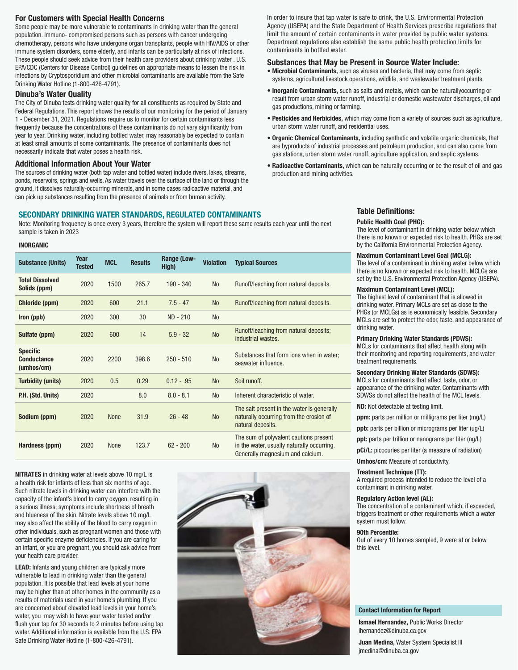#### For Customers with Special Health Concerns

Some people may be more vulnerable to contaminants in drinking water than the general population. Immuno- compromised persons such as persons with cancer undergoing chemotherapy, persons who have undergone organ transplants, people with HIV/AIDS or other immune system disorders, some elderly, and infants can be particularly at risk of infections. These people should seek advice from their health care providers about drinking water . U.S. EPA/CDC (Centers for Disease Control) guidelines on appropriate means to lessen the risk in infections by Cryptosporidium and other microbial contaminants are available from the Safe Drinking Water Hotline (1-800-426-4791).

#### Dinuba's Water Quality

The City of Dinuba tests drinking water quality for all constituents as required by State and Federal Regulations. This report shows the results of our monitoring for the period of January 1 - December 31, 2021. Regulations require us to monitor for certain contaminants less frequently because the concentrations of these contaminants do not vary significantly from year to year. Drinking water, including bottled water, may reasonably be expected to contain at least small amounts of some contaminants. The presence of contaminants does not necessarily indicate that water poses a health risk.

#### Additional Information About Your Water

The sources of drinking water (both tap water and bottled water) include rivers, lakes, streams, ponds, reservoirs, springs and wells. As water travels over the surface of the land or through the ground, it dissolves naturally-occurring minerals, and in some cases radioactive material, and can pick up substances resulting from the presence of animals or from human activity.

#### SECONDARY DRINKING WATER STANDARDS, REGULATED CONTAMINANTS

Note: Monitoring frequency is once every 3 years, therefore the system will report these same results each year until the next sample is taken in 2023

#### INORGANIC

| <b>Substance (Units)</b>                            | Year<br><b>Tested</b> | <b>MCL</b>  | <b>Results</b> | Range (Low-<br>High) | <b>Violation</b> | <b>Typical Sources</b>                                                                                                   |
|-----------------------------------------------------|-----------------------|-------------|----------------|----------------------|------------------|--------------------------------------------------------------------------------------------------------------------------|
| <b>Total Dissolved</b><br>Solids (ppm)              | 2020                  | 1500        | 265.7          | $190 - 340$          | <b>No</b>        | Runoff/leaching from natural deposits.                                                                                   |
| Chloride (ppm)                                      | 2020                  | 600         | 21.1           | $7.5 - 47$           | <b>No</b>        | Runoff/leaching from natural deposits.                                                                                   |
| Iron (ppb)                                          | 2020                  | 300         | 30             | ND - 210             | <b>No</b>        |                                                                                                                          |
| Sulfate (ppm)                                       | 2020                  | 600         | 14             | $5.9 - 32$           | <b>No</b>        | Runoff/leaching from natural deposits;<br>industrial wastes.                                                             |
| <b>Specific</b><br><b>Conductance</b><br>(umhos/cm) | 2020                  | 2200        | 398.6          | $250 - 510$          | <b>No</b>        | Substances that form ions when in water;<br>seawater influence.                                                          |
| <b>Turbidity (units)</b>                            | 2020                  | 0.5         | 0.29           | $0.12 - .95$         | <b>No</b>        | Soil runoff.                                                                                                             |
| P.H. (Std. Units)                                   | 2020                  |             | 8.0            | $8.0 - 8.1$          | <b>No</b>        | Inherent characteristic of water.                                                                                        |
| Sodium (ppm)                                        | 2020                  | <b>None</b> | 31.9           | $26 - 48$            | <b>No</b>        | The salt present in the water is generally<br>naturally occurring from the erosion of<br>natural deposits.               |
| Hardness (ppm)                                      | 2020                  | <b>None</b> | 123.7          | $62 - 200$           | <b>No</b>        | The sum of polyvalent cautions present<br>in the water, usually naturally occurring.<br>Generally magnesium and calcium. |

NITRATES in drinking water at levels above 10 mg/L is a health risk for infants of less than six months of age. Such nitrate levels in drinking water can interfere with the capacity of the infant's blood to carry oxygen, resulting in a serious illness; symptoms include shortness of breath and blueness of the skin. Nitrate levels above 10 mg/L may also affect the ability of the blood to carry oxygen in other individuals, such as pregnant women and those with certain specific enzyme deficiencies. If you are caring for an infant, or you are pregnant, you should ask advice from your health care provider.

LEAD: Infants and young children are typically more vulnerable to lead in drinking water than the general population. It is possible that lead levels at your home may be higher than at other homes in the community as a results of materials used in your home's plumbing. If you are concerned about elevated lead levels in your home's water, you may wish to have your water tested and/or flush your tap for 30 seconds to 2 minutes before using tap water. Additional information is available from the U.S. EPA Safe Drinking Water Hotline (1-800-426-4791).



In order to insure that tap water is safe to drink, the U.S. Environmental Protection Agency (USEPA) and the State Department of Health Services prescribe regulations that limit the amount of certain contaminants in water provided by public water systems. Department regulations also establish the same public health protection limits for contaminants in bottled water.

#### Substances that May be Present in Source Water Include:

- Microbial Contaminants, such as viruses and bacteria, that may come from septic systems, agricultural livestock operations, wildlife, and wastewater treatment plants.
- Inorganic Contaminants, such as salts and metals, which can be naturallyoccurring or result from urban storm water runoff, industrial or domestic wastewater discharges, oil and gas productions, mining or farming.
- Pesticides and Herbicides, which may come from a variety of sources such as agriculture, urban storm water runoff, and residential uses.
- Organic Chemical Contaminants, including synthetic and volatile organic chemicals, that are byproducts of industrial processes and petroleum production, and can also come from gas stations, urban storm water runoff, agriculture application, and septic systems.
- Radioactive Contaminants, which can be naturally occurring or be the result of oil and gas production and mining activities.

#### Table Definitions:

#### Public Health Goal (PHG):

The level of contaminant in drinking water below which there is no known or expected risk to health. PHGs are set by the California Environmental Protection Agency.

#### Maximum Contaminant Level Goal (MCLG):

The level of a contaminant in drinking water below which there is no known or expected risk to health. MCLGs are set by the U.S. Environmental Protection Agency (USEPA).

#### Maximum Contaminant Level (MCL):

The highest level of contaminant that is allowed in drinking water. Primary MCLs are set as close to the PHGs (or MCLGs) as is economically feasible. Secondary MCLs are set to protect the odor, taste, and appearance of drinking water.

#### Primary Drinking Water Standards (PDWS):

MCLs for contaminants that affect health along with their monitoring and reporting requirements, and water treatment requirements.

#### Secondary Drinking Water Standards (SDWS):

MCLs for contaminants that affect taste, odor, or appearance of the drinking water. Contaminants with SDWSs do not affect the health of the MCL levels.

ND: Not detectable at testing limit.

ppm: parts per million or milligrams per liter (mg/L)

ppb: parts per billion or micrograms per liter (ug/L)

ppt: parts per trillion or nanograms per liter (ng/L)

pCi/L: picocuries per liter (a measure of radiation)

Umhos/cm: Measure of conductivity.

#### Treatment Technique (TT):

A required process intended to reduce the level of a contaminant in drinking water.

#### Regulatory Action level (AL):

The concentration of a contaminant which, if exceeded, triggers treatment or other requirements which a water system must follow.

#### 90th Percentile:

Out of every 10 homes sampled, 9 were at or below this level.

#### Contact Information for Report

Ismael Hernandez, Public Works Director ihernandez@dinuba.ca.gov

Juan Medina, Water System Specialist III jmedina@dinuba.ca.gov